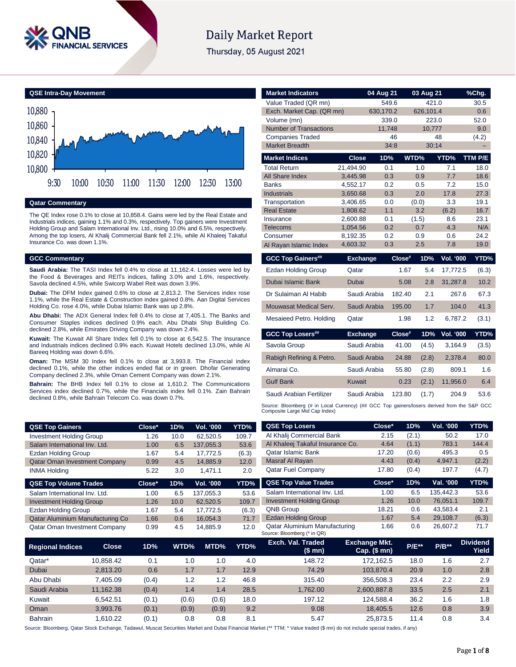

# **Daily Market Report**

Thursday, 05 August 2021



**Qatar Commentary**

The QE Index rose 0.1% to close at 10,858.4. Gains were led by the Real Estate and Industrials indices, gaining 1.1% and 0.3%, respectively. Top gainers were Investment Holding Group and Salam International Inv. Ltd., rising 10.0% and 6.5%, respectively. Among the top losers, Al Khalij Commercial Bank fell 2.1%, while Al Khaleej Takaful Insurance Co. was down 1.1%.

#### **GCC Commentary**

**Saudi Arabia:** The TASI Index fell 0.4% to close at 11,162.4. Losses were led by the Food & Beverages and REITs indices, falling 3.0% and 1.6%, respectively. Savola declined 4.5%, while Swicorp Wabel Reit was down 3.9%.

**Dubai:** The DFM Index gained 0.6% to close at 2,813.2. The Services index rose 1.1%, while the Real Estate & Construction index gained 0.8%. Aan Digital Services Holding Co. rose 4.0%, while Dubai Islamic Bank was up 2.8%.

**Abu Dhabi:** The ADX General Index fell 0.4% to close at 7,405.1. The Banks and Consumer Staples indices declined 0.9% each. Abu Dhabi Ship Building Co. declined 2.8%, while Emirates Driving Company was down 2.4%.

**Kuwait:** The Kuwait All Share Index fell 0.1% to close at 6,542.5. The Insurance and Industrials indices declined 0.9% each. Kuwait Hotels declined 13.0%, while Al Bareeq Holding was down 6.6%.

**Oman:** The MSM 30 Index fell 0.1% to close at 3,993.8. The Financial index declined 0.1%, while the other indices ended flat or in green. Dhofar Generating Company declined 2.3%, while Oman Cement Company was down 2.1%.

**Bahrain:** The BHB Index fell 0.1% to close at 1,610.2. The Communications Services index declined 0.7%, while the Financials index fell 0.1%. Zain Bahrain declined 0.8%, while Bahrain Telecom Co. was down 0.7%.

| <b>Market Indicators</b>      |                      | 04 Aug 21  |        | 03 Aug 21    |            | <u>%Chg.</u> |
|-------------------------------|----------------------|------------|--------|--------------|------------|--------------|
| Value Traded (QR mn)          |                      | 549.6      |        | 421.0        |            | 30.5         |
| Exch. Market Cap. (QR mn)     |                      | 630,170.2  |        | 626,101.4    |            | 0.6          |
| Volume (mn)                   |                      | 339.0      |        | 223.0        |            | 52.0         |
| <b>Number of Transactions</b> |                      | 11,748     |        | 10,777       |            | 9.0          |
| <b>Companies Traded</b>       |                      | 46         |        |              | 48         | (4.2)        |
| <b>Market Breadth</b>         |                      | 34:8       |        | 30:14        |            |              |
| <b>Market Indices</b>         | <b>Close</b>         | 1D%        |        | WTD%         | YTD%       | TTM P/E      |
| <b>Total Return</b>           | 21,494.90            | 0.1        |        | 1.0          | 7.1        | 18.0         |
| All Share Index               | 3,445.98             | 0.3        |        | 0.9          | 7.7        | 18.6         |
| <b>Banks</b>                  | 4,552.17             | 0.2        |        | 0.5          | 7.2        | 15.0         |
| <b>Industrials</b>            | 3,650.68             | 0.3        |        | 2.0          | 17.8       | 27.3         |
| Transportation                | 3,406.65             | 0.0        |        | (0.0)        | 3.3        | 19.1         |
| <b>Real Estate</b>            | 1,808.62             | 1.1        |        | 3.2          | (6.2)      | 16.7         |
| Insurance<br><b>Telecoms</b>  | 2,600.88<br>1,054.56 | 0.1<br>0.2 |        | (1.5)<br>0.7 | 8.6<br>4.3 | 23.1<br>N/A  |
| Consumer                      | 8,192.35             | 0.2        |        | 0.9          | 0.6        | 24.2         |
| Al Rayan Islamic Index        | 4,603.32             | 0.3        |        | 2.5          | 7.8        | 19.0         |
|                               |                      |            |        |              |            |              |
| <b>GCC Top Gainers##</b>      | <b>Exchange</b>      |            | Close# | 1D%          | Vol. '000  | YTD%         |
| <b>Ezdan Holding Group</b>    | Qatar                |            | 1.67   | 5.4          | 17,772.5   | (6.3)        |
| Dubai Islamic Bank            | <b>Dubai</b>         |            | 5.08   | 2.8          | 31,287.8   | 10.2         |
| Dr Sulaiman Al Habib          | Saudi Arabia         |            | 182.40 | 2.1          | 267.6      | 67.3         |
| Mouwasat Medical Serv.        | Saudi Arabia         |            | 195.00 | 1.7          | 104.0      | 41.3         |
| Mesaieed Petro. Holding       | Qatar                |            | 1.98   | 1.2          | 6,787.2    | (3.1)        |
| <b>GCC Top Losers##</b>       | <b>Exchange</b>      |            | Close# | 1D%          | Vol. '000  | YTD%         |
| Savola Group                  | Saudi Arabia         |            | 41.00  | (4.5)        | 3,164.9    | (3.5)        |
| Rabigh Refining & Petro.      | Saudi Arabia         |            | 24.88  | (2.8)        | 2,378.4    | 80.0         |
| Almarai Co.                   | Saudi Arabia         |            | 55.80  | (2.8)        | 809.1      | 1.6          |
| <b>Gulf Bank</b>              | <b>Kuwait</b>        |            | 0.23   | (2.1)        | 11,956.0   | 6.4          |
| Saudi Arabian Fertilizer      | Saudi Arabia         |            | 123.80 | (1.7)        | 204.9      | 53.6         |

Source: Bloomberg (# in Local Currency) (## GCC Top gainers/losers derived from the S&P GCC<br>Composite Large Mid Cap Index)

| <b>QSE Top Gainers</b>                  | Close* | 1D%  | Vol. '000 | YTD%  | <b>QSE Top Losers</b>                                        | Close*                                         | 1D%          | Vol. '000 | YTD%                            |
|-----------------------------------------|--------|------|-----------|-------|--------------------------------------------------------------|------------------------------------------------|--------------|-----------|---------------------------------|
| <b>Investment Holding Group</b>         | 1.26   | 10.0 | 62.520.5  | 109.7 | Al Khalij Commercial Bank                                    | 2.15                                           | (2.1)        | 50.2      | 17.0                            |
| Salam International Inv. Ltd.           | 1.00   | 6.5  | 137.055.3 | 53.6  | Al Khaleej Takaful Insurance Co.                             | 4.64                                           | (1.1)        | 783.1     | 144.4                           |
| Ezdan Holding Group                     | 1.67   | 5.4  | 17.772.5  | (6.3) | Qatar Islamic Bank                                           | 17.20                                          | (0.6)        | 495.3     | 0.5                             |
| <b>Qatar Oman Investment Company</b>    | 0.99   | 4.5  | 14.885.9  | 12.0  | Masraf Al Rayan                                              | 4.43                                           | (0.4)        | 4,947.1   | (2.2)                           |
| <b>INMA Holding</b>                     | 5.22   | 3.0  | 1,471.1   | 2.0   | <b>Qatar Fuel Company</b>                                    | 17.80                                          | (0.4)        | 197.7     | (4.7)                           |
| <b>QSE Top Volume Trades</b>            | Close* | 1D%  | Vol. '000 | YTD%  | <b>QSE Top Value Trades</b>                                  | Close*                                         | 1D%          | Val. '000 | YTD%                            |
| Salam International Inv. Ltd.           | 1.00   | 6.5  | 137.055.3 | 53.6  | Salam International Inv. Ltd.                                | 1.00                                           | 6.5          | 135.442.3 | 53.6                            |
| <b>Investment Holding Group</b>         | 1.26   | 10.0 | 62,520.5  | 109.7 | <b>Investment Holding Group</b>                              | 1.26                                           | 10.0         | 76,051.1  | 109.7                           |
| Ezdan Holding Group                     | 1.67   | 5.4  | 17.772.5  | (6.3) | <b>QNB Group</b>                                             | 18.21                                          | 0.6          | 43,583.4  | 2.1                             |
| Qatar Aluminium Manufacturing Co        | 1.66   | 0.6  | 16.054.3  | 71.7  | <b>Ezdan Holding Group</b>                                   | 1.67                                           | 5.4          | 29.108.7  | (6.3)                           |
| <b>Qatar Oman Investment Company</b>    | 0.99   | 4.5  | 14,885.9  | 12.0  | Qatar Aluminium Manufacturing<br>Source: Bloomberg (* in QR) | 1.66                                           | 0.6          | 26,607.2  | 71.7                            |
| <b>Close</b><br><b>Regional Indices</b> | 1D%    | WTD% | MTD%      | YTD%  | Exch. Val. Traded<br>$($ ¢ $mn$                              | <b>Exchange Mkt.</b><br>$C2n$ $(8 \text{ mm})$ | <b>P/E**</b> | $P/B**$   | <b>Dividend</b><br><b>Winld</b> |

| <b>Regional Indices</b> | Close <sub>1</sub> | 1D%   | WTD%  | MTD%  | YTD% | Exch. Val. Traded<br>(\$mn) | <b>Exchange Mkt.</b><br>Cap. $($mn)$ | <b>P/E**</b> | $P/B**$ | <b>Dividend</b><br>Yield |
|-------------------------|--------------------|-------|-------|-------|------|-----------------------------|--------------------------------------|--------------|---------|--------------------------|
| Qatar*                  | 10.858.42          | 0.1   | 1.0   | 1.0   | 4.0  | 148.72                      | 172.162.5                            | 18.0         | 1.6     | 2.7                      |
| Dubai                   | 2.813.20           | 0.6   | 1.7   | 1.7   | 12.9 | 74.29                       | 103.870.4                            | 20.9         | 1.0     | 2.8                      |
| Abu Dhabi               | 7.405.09           | (0.4) | 1.2   | 1.2   | 46.8 | 315.40                      | 356,508.3                            | 23.4         | 2.2     | 2.9                      |
| Saudi Arabia            | 11.162.38          | (0.4) | 1.4   | 1.4   | 28.5 | 1.762.00                    | 2,600,887.8                          | 33.5         | 2.5     | 2.1                      |
| Kuwait                  | 6.542.51           | (0.1) | (0.6) | (0.6) | 18.0 | 197.12                      | 124.588.4                            | 36.2         | 1.6     | 1.8                      |
| Oman                    | 3.993.76           | (0.1) | (0.9) | (0.9) | 9.2  | 9.08                        | 18.405.5                             | 12.6         | 0.8     | 3.9                      |
| <b>Bahrain</b>          | .610.22            | (0.1) | 0.8   | 0.8   | 8.1  | 5.47                        | 25.873.5                             | 11.4         | 0.8     | 3.4                      |

Source: Bloomberg, Qatar Stock Exchange, Tadawul, Muscat Securities Market and Dubai Financial Market (\*\* TTM; \* Value traded (\$ mn) do not include special trades, if any)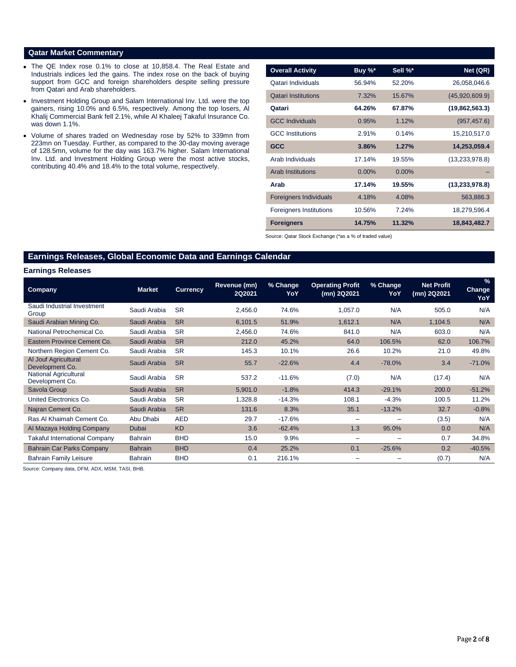#### **Qatar Market Commentary**

- The QE Index rose 0.1% to close at 10,858.4. The Real Estate and Industrials indices led the gains. The index rose on the back of buying support from GCC and foreign shareholders despite selling pressure from Qatari and Arab shareholders.
- Investment Holding Group and Salam International Inv. Ltd. were the top gainers, rising 10.0% and 6.5%, respectively. Among the top losers, Al Khalij Commercial Bank fell 2.1%, while Al Khaleej Takaful Insurance Co. was down 1.1%.
- Volume of shares traded on Wednesday rose by 52% to 339mn from 223mn on Tuesday. Further, as compared to the 30-day moving average of 128.5mn, volume for the day was 163.7% higher. Salam International Inv. Ltd. and Investment Holding Group were the most active stocks, contributing 40.4% and 18.4% to the total volume, respectively.

| <b>Overall Activity</b>        | Buy $\%^*$ | Sell %*  | Net (QR)         |
|--------------------------------|------------|----------|------------------|
| Qatari Individuals             | 56.94%     | 52.20%   | 26,058,046.6     |
| <b>Qatari Institutions</b>     | 7.32%      | 15.67%   | (45,920,609.9)   |
| Qatari                         | 64.26%     | 67.87%   | (19,862,563.3)   |
| <b>GCC Individuals</b>         | 0.95%      | 1.12%    | (957, 457.6)     |
| <b>GCC</b> Institutions        | 2.91%      | 0.14%    | 15,210,517.0     |
| <b>GCC</b>                     | 3.86%      | 1.27%    | 14,253,059.4     |
| Arab Individuals               | 17.14%     | 19.55%   | (13,233,978.8)   |
| <b>Arab Institutions</b>       | $0.00\%$   | $0.00\%$ |                  |
| Arab                           | 17.14%     | 19.55%   | (13, 233, 978.8) |
| <b>Foreigners Individuals</b>  | 4.18%      | 4.08%    | 563,886.3        |
| <b>Foreigners Institutions</b> | 10.56%     | 7.24%    | 18,279,596.4     |
| <b>Foreigners</b>              | 14.75%     | 11.32%   | 18,843,482.7     |

Source: Qatar Stock Exchange (\*as a % of traded value)

# **Earnings Releases, Global Economic Data and Earnings Calendar**

#### **Earnings Releases**

| Company                                  | <b>Market</b>  | <b>Currency</b> | Revenue (mn)<br>2Q2021 | % Change<br>YoY | <b>Operating Profit</b><br>(mn) 2Q2021 | % Change<br>YoY | <b>Net Profit</b><br>(mn) 2Q2021 | $\%$<br><b>Change</b><br>YoY |
|------------------------------------------|----------------|-----------------|------------------------|-----------------|----------------------------------------|-----------------|----------------------------------|------------------------------|
| Saudi Industrial Investment<br>Group     | Saudi Arabia   | <b>SR</b>       | 2,456.0                | 74.6%           | 1,057.0                                | N/A             | 505.0                            | N/A                          |
| Saudi Arabian Mining Co.                 | Saudi Arabia   | <b>SR</b>       | 6,101.5                | 51.9%           | 1,612.1                                | N/A             | 1,104.5                          | N/A                          |
| National Petrochemical Co.               | Saudi Arabia   | <b>SR</b>       | 2,456.0                | 74.6%           | 841.0                                  | N/A             | 603.0                            | N/A                          |
| Eastern Province Cement Co.              | Saudi Arabia   | <b>SR</b>       | 212.0                  | 45.2%           | 64.0                                   | 106.5%          | 62.0                             | 106.7%                       |
| Northern Region Cement Co.               | Saudi Arabia   | <b>SR</b>       | 145.3                  | 10.1%           | 26.6                                   | 10.2%           | 21.0                             | 49.8%                        |
| Al Jouf Agricultural<br>Development Co.  | Saudi Arabia   | <b>SR</b>       | 55.7                   | $-22.6%$        | 4.4                                    | $-78.0%$        | 3.4                              | $-71.0%$                     |
| National Agricultural<br>Development Co. | Saudi Arabia   | <b>SR</b>       | 537.2                  | $-11.6%$        | (7.0)                                  | N/A             | (17.4)                           | N/A                          |
| Savola Group                             | Saudi Arabia   | <b>SR</b>       | 5,901.0                | $-1.8%$         | 414.3                                  | $-29.1%$        | 200.0                            | $-51.2%$                     |
| United Electronics Co.                   | Saudi Arabia   | <b>SR</b>       | 1,328.8                | $-14.3%$        | 108.1                                  | $-4.3%$         | 100.5                            | 11.2%                        |
| Najran Cement Co.                        | Saudi Arabia   | <b>SR</b>       | 131.6                  | 8.3%            | 35.1                                   | $-13.2%$        | 32.7                             | $-0.8%$                      |
| Ras Al Khaimah Cement Co.                | Abu Dhabi      | <b>AED</b>      | 29.7                   | $-17.6%$        | -                                      |                 | (3.5)                            | N/A                          |
| Al Mazaya Holding Company                | Dubai          | <b>KD</b>       | 3.6                    | $-62.4%$        | 1.3                                    | 95.0%           | 0.0                              | N/A                          |
| Takaful International Company            | <b>Bahrain</b> | <b>BHD</b>      | 15.0                   | 9.9%            | -                                      |                 | 0.7                              | 34.8%                        |
| Bahrain Car Parks Company                | <b>Bahrain</b> | <b>BHD</b>      | 0.4                    | 25.2%           | 0.1                                    | $-25.6%$        | 0.2                              | $-40.5%$                     |
| <b>Bahrain Family Leisure</b>            | <b>Bahrain</b> | <b>BHD</b>      | 0.1                    | 216.1%          | -                                      |                 | (0.7)                            | N/A                          |

Source: Company data, DFM, ADX, MSM, TASI, BHB.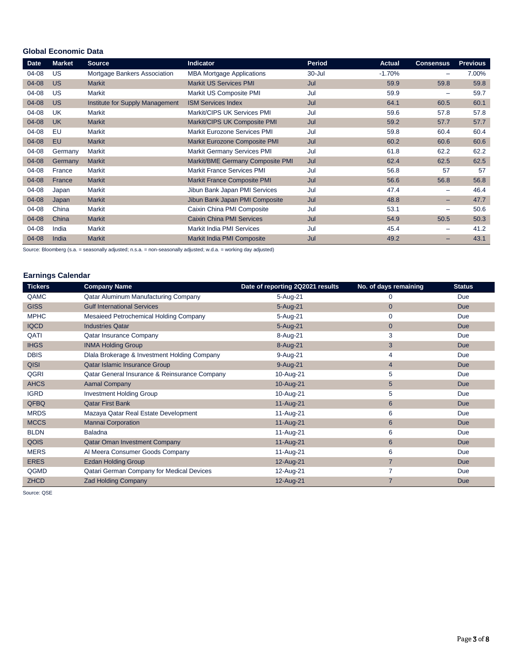# **Global Economic Data**

| <b>Date</b> | <b>Market</b> | <b>Source</b>                   | <b>Indicator</b>                   | Period | <b>Actual</b> | <b>Consensus</b> | <b>Previous</b> |
|-------------|---------------|---------------------------------|------------------------------------|--------|---------------|------------------|-----------------|
| 04-08       | US            | Mortgage Bankers Association    | <b>MBA Mortgage Applications</b>   | 30-Jul | $-1.70%$      | -                | 7.00%           |
| 04-08       | <b>US</b>     | <b>Markit</b>                   | <b>Markit US Services PMI</b>      | Jul    | 59.9          | 59.8             | 59.8            |
| 04-08       | US            | Markit                          | Markit US Composite PMI            | Jul    | 59.9          | -                | 59.7            |
| 04-08       | <b>US</b>     | Institute for Supply Management | <b>ISM Services Index</b>          | Jul    | 64.1          | 60.5             | 60.1            |
| 04-08       | UK            | Markit                          | Markit/CIPS UK Services PMI        | Jul    | 59.6          | 57.8             | 57.8            |
| 04-08       | <b>UK</b>     | <b>Markit</b>                   | Markit/CIPS UK Composite PMI       | Jul    | 59.2          | 57.7             | 57.7            |
| 04-08       | EU            | <b>Markit</b>                   | Markit Eurozone Services PMI       | Jul    | 59.8          | 60.4             | 60.4            |
| 04-08       | <b>EU</b>     | <b>Markit</b>                   | Markit Eurozone Composite PMI      | Jul    | 60.2          | 60.6             | 60.6            |
| 04-08       | Germany       | Markit                          | <b>Markit Germany Services PMI</b> | Jul    | 61.8          | 62.2             | 62.2            |
| 04-08       | Germany       | Markit                          | Markit/BME Germany Composite PMI   | Jul    | 62.4          | 62.5             | 62.5            |
| 04-08       | France        | Markit                          | <b>Markit France Services PMI</b>  | Jul    | 56.8          | 57               | 57              |
| 04-08       | France        | <b>Markit</b>                   | <b>Markit France Composite PMI</b> | Jul    | 56.6          | 56.8             | 56.8            |
| 04-08       | Japan         | Markit                          | Jibun Bank Japan PMI Services      | Jul    | 47.4          | -                | 46.4            |
| 04-08       | Japan         | <b>Markit</b>                   | Jibun Bank Japan PMI Composite     | Jul    | 48.8          | -                | 47.7            |
| 04-08       | China         | Markit                          | Caixin China PMI Composite         | Jul    | 53.1          | -                | 50.6            |
| 04-08       | China         | <b>Markit</b>                   | <b>Caixin China PMI Services</b>   | Jul    | 54.9          | 50.5             | 50.3            |
| 04-08       | India         | Markit                          | Markit India PMI Services          | Jul    | 45.4          | -                | 41.2            |
| 04-08       | India         | <b>Markit</b>                   | Markit India PMI Composite         | Jul    | 49.2          | -                | 43.1            |

Source: Bloomberg (s.a. = seasonally adjusted; n.s.a. = non-seasonally adjusted; w.d.a. = working day adjusted)

# **Earnings Calendar**

| <b>Tickers</b> | <b>Company Name</b>                           | Date of reporting 2Q2021 results | No. of days remaining | <b>Status</b> |
|----------------|-----------------------------------------------|----------------------------------|-----------------------|---------------|
| QAMC           | Qatar Aluminum Manufacturing Company          | 5-Aug-21                         | 0                     | Due           |
| <b>GISS</b>    | <b>Gulf International Services</b>            | 5-Aug-21                         | $\overline{0}$        | <b>Due</b>    |
| <b>MPHC</b>    | Mesaieed Petrochemical Holding Company        | 5-Aug-21                         | $\mathbf 0$           | Due           |
| <b>IQCD</b>    | <b>Industries Qatar</b>                       | 5-Aug-21                         | $\overline{0}$        | <b>Due</b>    |
| QATI           | Qatar Insurance Company                       | 8-Aug-21                         | 3                     | Due           |
| <b>IHGS</b>    | <b>INMA Holding Group</b>                     | 8-Aug-21                         | 3                     | <b>Due</b>    |
| <b>DBIS</b>    | Dlala Brokerage & Investment Holding Company  | 9-Aug-21                         | 4                     | Due           |
| <b>QISI</b>    | Qatar Islamic Insurance Group                 | 9-Aug-21                         | $\overline{4}$        | <b>Due</b>    |
| QGRI           | Qatar General Insurance & Reinsurance Company | 10-Aug-21                        | 5                     | Due           |
| <b>AHCS</b>    | <b>Aamal Company</b>                          | 10-Aug-21                        | 5                     | Due           |
| <b>IGRD</b>    | <b>Investment Holding Group</b>               | 10-Aug-21                        | 5                     | Due           |
| <b>QFBQ</b>    | <b>Qatar First Bank</b>                       | 11-Aug-21                        | 6                     | Due           |
| <b>MRDS</b>    | Mazaya Qatar Real Estate Development          | 11-Aug-21                        | 6                     | Due           |
| <b>MCCS</b>    | <b>Mannai Corporation</b>                     | 11-Aug-21                        | 6                     | <b>Due</b>    |
| <b>BLDN</b>    | Baladna                                       | 11-Aug-21                        | 6                     | Due           |
| QOIS           | <b>Qatar Oman Investment Company</b>          | 11-Aug-21                        | 6                     | <b>Due</b>    |
| <b>MERS</b>    | Al Meera Consumer Goods Company               | 11-Aug-21                        | 6                     | Due           |
| <b>ERES</b>    | <b>Ezdan Holding Group</b>                    | 12-Aug-21                        | $\overline{7}$        | Due           |
| QGMD           | Qatari German Company for Medical Devices     | 12-Aug-21                        | 7                     | Due           |
| <b>ZHCD</b>    | <b>Zad Holding Company</b>                    | 12-Aug-21                        | $\overline{7}$        | <b>Due</b>    |

Source: QSE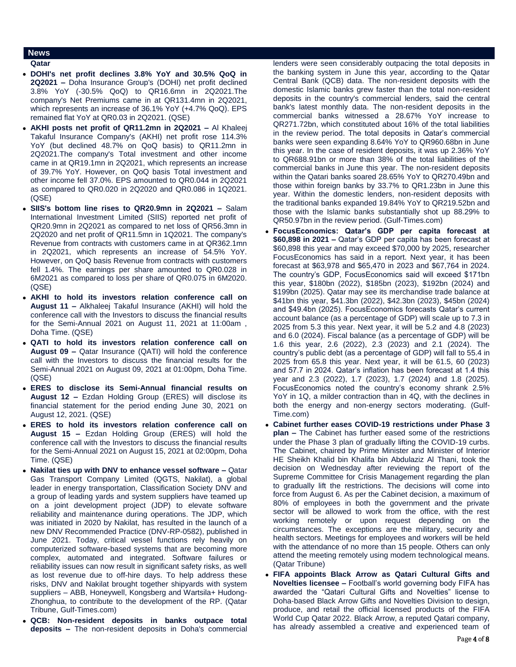## **News**

- **Qatar**
- **DOHI's net profit declines 3.8% YoY and 30.5% QoQ in 2Q2021 –** Doha Insurance Group's (DOHI) net profit declined 3.8% YoY (-30.5% QoQ) to QR16.6mn in 2Q2021.The company's Net Premiums came in at QR131.4mn in 2Q2021, which represents an increase of 36.1% YoY (+4.7% QoQ). EPS remained flat YoY at QR0.03 in 2Q2021. (QSE)
- **AKHI posts net profit of QR11.2mn in 2Q2021 –** Al Khaleej Takaful Insurance Company's (AKHI) net profit rose 114.3% YoY (but declined 48.7% on QoQ basis) to QR11.2mn in 2Q2021.The company's Total investment and other income came in at QR19.1mn in 2Q2021, which represents an increase of 39.7% YoY. However, on QoQ basis Total investment and other income fell 37.0%. EPS amounted to QR0.044 in 2Q2021 as compared to QR0.020 in 2Q2020 and QR0.086 in 1Q2021. (QSE)
- **SIIS's bottom line rises to QR20.9mn in 2Q2021 –** Salam International Investment Limited (SIIS) reported net profit of QR20.9mn in 2Q2021 as compared to net loss of QR56.3mn in 2Q2020 and net profit of QR11.5mn in 1Q2021. The company's Revenue from contracts with customers came in at QR362.1mn in 2Q2021, which represents an increase of 54.5% YoY. However, on QoQ basis Revenue from contracts with customers fell 1.4%. The earnings per share amounted to QR0.028 in 6M2021 as compared to loss per share of QR0.075 in 6M2020. (QSE)
- **AKHI to hold its investors relation conference call on August 11 –** Alkhaleej Takaful Insurance (AKHI) will hold the conference call with the Investors to discuss the financial results for the Semi-Annual 2021 on August 11, 2021 at 11:00am , Doha Time. (QSE)
- **QATI to hold its investors relation conference call on August 09 –** Qatar Insurance (QATI) will hold the conference call with the Investors to discuss the financial results for the Semi-Annual 2021 on August 09, 2021 at 01:00pm, Doha Time. (QSE)
- **ERES to disclose its Semi-Annual financial results on August 12 –** Ezdan Holding Group (ERES) will disclose its financial statement for the period ending June 30, 2021 on August 12, 2021. (QSE)
- **ERES to hold its investors relation conference call on August 15 –** Ezdan Holding Group (ERES) will hold the conference call with the Investors to discuss the financial results for the Semi-Annual 2021 on August 15, 2021 at 02:00pm, Doha Time. (QSE)
- **Nakilat ties up with DNV to enhance vessel software –** Qatar Gas Transport Company Limited (QGTS, Nakilat), a global leader in energy transportation, Classification Society DNV and a group of leading yards and system suppliers have teamed up on a joint development project (JDP) to elevate software reliability and maintenance during operations. The JDP, which was initiated in 2020 by Nakilat, has resulted in the launch of a new DNV Recommended Practice (DNV-RP-0582), published in June 2021. Today, critical vessel functions rely heavily on computerized software-based systems that are becoming more complex, automated and integrated. Software failures or reliability issues can now result in significant safety risks, as well as lost revenue due to off-hire days. To help address these risks, DNV and Nakilat brought together shipyards with system suppliers – ABB, Honeywell, Kongsberg and Wartsila+ Hudong-Zhonghua, to contribute to the development of the RP. (Qatar Tribune, Gulf-Times.com)
- **QCB: Non-resident deposits in banks outpace total deposits –** The non-resident deposits in Doha's commercial

lenders were seen considerably outpacing the total deposits in the banking system in June this year, according to the Qatar Central Bank (QCB) data. The non-resident deposits with the domestic Islamic banks grew faster than the total non-resident deposits in the country's commercial lenders, said the central bank's latest monthly data. The non-resident deposits in the commercial banks witnessed a 28.67% YoY increase to QR271.72bn, which constituted about 16% of the total liabilities in the review period. The total deposits in Qatar's commercial banks were seen expanding 8.64% YoY to QR960.68bn in June this year. In the case of resident deposits, it was up 2.36% YoY to QR688.91bn or more than 38% of the total liabilities of the commercial banks in June this year. The non-resident deposits within the Qatari banks soared 28.65% YoY to QR270.49bn and those within foreign banks by 33.7% to QR1.23bn in June this year. Within the domestic lenders, non-resident deposits with the traditional banks expanded 19.84% YoY to QR219.52bn and those with the Islamic banks substantially shot up 88.29% to QR50.97bn in the review period. (Gulf-Times.com)

- **FocusEconomics: Qatar's GDP per capita forecast at \$60,898 in 2021 –** Qatar's GDP per capita has been forecast at \$60,898 this year and may exceed \$70,000 by 2025, researcher FocusEconomics has said in a report. Next year, it has been forecast at \$63,978 and \$65,470 in 2023 and \$67,764 in 2024. The country's GDP, FocusEconomics said will exceed \$171bn this year, \$180bn (2022), \$185bn (2023), \$192bn (2024) and \$199bn (2025). Qatar may see its merchandise trade balance at \$41bn this year, \$41.3bn (2022), \$42.3bn (2023), \$45bn (2024) and \$49.4bn (2025). FocusEconomics forecasts Qatar's current account balance (as a percentage of GDP) will scale up to 7.3 in 2025 from 5.3 this year. Next year, it will be 5.2 and 4.8 (2023) and 6.0 (2024). Fiscal balance (as a percentage of GDP) will be 1.6 this year, 2.6 (2022), 2.3 (2023) and 2.1 (2024). The country's public debt (as a percentage of GDP) will fall to 55.4 in 2025 from 65.8 this year. Next year, it will be 61.5, 60 (2023) and 57.7 in 2024. Qatar's inflation has been forecast at 1.4 this year and 2.3 (2022), 1.7 (2023), 1.7 (2024) and 1.8 (2025). FocusEconomics noted the country's economy shrank 2.5% YoY in 1Q, a milder contraction than in 4Q, with the declines in both the energy and non-energy sectors moderating. (Gulf-Time.com)
- **Cabinet further eases COVID-19 restrictions under Phase 3 plan –** The Cabinet has further eased some of the restrictions under the Phase 3 plan of gradually lifting the COVID-19 curbs. The Cabinet, chaired by Prime Minister and Minister of Interior HE Sheikh Khalid bin Khalifa bin Abdulaziz Al Thani, took the decision on Wednesday after reviewing the report of the Supreme Committee for Crisis Management regarding the plan to gradually lift the restrictions. The decisions will come into force from August 6. As per the Cabinet decision, a maximum of 80% of employees in both the government and the private sector will be allowed to work from the office, with the rest working remotely or upon request depending on the circumstances. The exceptions are the military, security and health sectors. Meetings for employees and workers will be held with the attendance of no more than 15 people. Others can only attend the meeting remotely using modern technological means. (Qatar Tribune)
- **FIFA appoints Black Arrow as Qatari Cultural Gifts and Novelties licensee –** Football's world governing body FIFA has awarded the "Qatari Cultural Gifts and Novelties" license to Doha-based Black Arrow Gifts and Novelties Division to design, produce, and retail the official licensed products of the FIFA World Cup Qatar 2022. Black Arrow, a reputed Qatari company, has already assembled a creative and experienced team of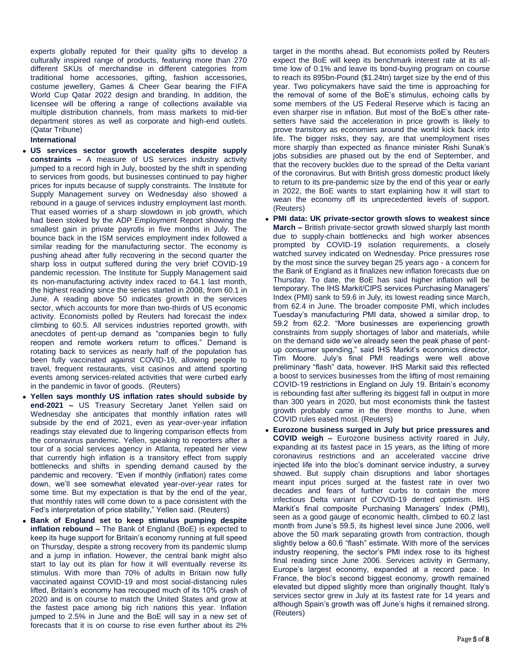experts globally reputed for their quality gifts to develop a culturally inspired range of products, featuring more than 270 different SKUs of merchandise in different categories from traditional home accessories, gifting, fashion accessories, costume jewellery, Games & Cheer Gear bearing the FIFA World Cup Qatar 2022 design and branding. In addition, the licensee will be offering a range of collections available via multiple distribution channels, from mass markets to mid-tier department stores as well as corporate and high-end outlets. (Qatar Tribune)

### **International**

- **US services sector growth accelerates despite supply constraints –** A measure of US services industry activity jumped to a record high in July, boosted by the shift in spending to services from goods, but businesses continued to pay higher prices for inputs because of supply constraints. The Institute for Supply Management survey on Wednesday also showed a rebound in a gauge of services industry employment last month. That eased worries of a sharp slowdown in job growth, which had been stoked by the ADP Employment Report showing the smallest gain in private payrolls in five months in July. The bounce back in the ISM services employment index followed a similar reading for the manufacturing sector. The economy is pushing ahead after fully recovering in the second quarter the sharp loss in output suffered during the very brief COVID-19 pandemic recession. The Institute for Supply Management said its non-manufacturing activity index raced to 64.1 last month, the highest reading since the series started in 2008, from 60.1 in June. A reading above 50 indicates growth in the services sector, which accounts for more than two-thirds of US economic activity. Economists polled by Reuters had forecast the index climbing to 60.5. All services industries reported growth, with anecdotes of pent-up demand as "companies begin to fully reopen and remote workers return to offices." Demand is rotating back to services as nearly half of the population has been fully vaccinated against COVID-19, allowing people to travel, frequent restaurants, visit casinos and attend sporting events among services-related activities that were curbed early in the pandemic in favor of goods. (Reuters)
- **Yellen says monthly US inflation rates should subside by end-2021 –** US Treasury Secretary Janet Yellen said on Wednesday she anticipates that monthly inflation rates will subside by the end of 2021, even as year-over-year inflation readings stay elevated due to lingering comparison effects from the coronavirus pandemic. Yellen, speaking to reporters after a tour of a social services agency in Atlanta, repeated her view that currently high inflation is a transitory effect from supply bottlenecks and shifts in spending demand caused by the pandemic and recovery. "Even if monthly (inflation) rates come down, we'll see somewhat elevated year-over-year rates for some time. But my expectation is that by the end of the year, that monthly rates will come down to a pace consistent with the Fed's interpretation of price stability," Yellen said. (Reuters)
- **Bank of England set to keep stimulus pumping despite inflation rebound –** The Bank of England (BoE) is expected to keep its huge support for Britain's economy running at full speed on Thursday, despite a strong recovery from its pandemic slump and a jump in inflation. However, the central bank might also start to lay out its plan for how it will eventually reverse its stimulus. With more than 70% of adults in Britain now fully vaccinated against COVID-19 and most social-distancing rules lifted, Britain's economy has recouped much of its 10% crash of 2020 and is on course to match the United States and grow at the fastest pace among big rich nations this year. Inflation jumped to 2.5% in June and the BoE will say in a new set of forecasts that it is on course to rise even further about its 2%

target in the months ahead. But economists polled by Reuters expect the BoE will keep its benchmark interest rate at its alltime low of 0.1% and leave its bond-buying program on course to reach its 895bn-Pound (\$1.24tn) target size by the end of this year. Two policymakers have said the time is approaching for the removal of some of the BoE's stimulus, echoing calls by some members of the US Federal Reserve which is facing an even sharper rise in inflation. But most of the BoE's other ratesetters have said the acceleration in price growth is likely to prove transitory as economies around the world kick back into life. The bigger risks, they say, are that unemployment rises more sharply than expected as finance minister Rishi Sunak's jobs subsidies are phased out by the end of September, and that the recovery buckles due to the spread of the Delta variant of the coronavirus. But with British gross domestic product likely to return to its pre-pandemic size by the end of this year or early in 2022, the BoE wants to start explaining how it will start to wean the economy off its unprecedented levels of support. (Reuters)

- **PMI data: UK private-sector growth slows to weakest since March –** British private-sector growth slowed sharply last month due to supply-chain bottlenecks and high worker absences prompted by COVID-19 isolation requirements, a closely watched survey indicated on Wednesday. Price pressures rose by the most since the survey began 25 years ago - a concern for the Bank of England as it finalizes new inflation forecasts due on Thursday. To date, the BoE has said higher inflation will be temporary. The IHS Markit/CIPS services Purchasing Managers' Index (PMI) sank to 59.6 in July, its lowest reading since March, from 62.4 in June. The broader composite PMI, which includes Tuesday's manufacturing PMI data, showed a similar drop, to 59.2 from 62.2. "More businesses are experiencing growth constraints from supply shortages of labor and materials, while on the demand side we've already seen the peak phase of pentup consumer spending," said IHS Markit's economics director, Tim Moore. July's final PMI readings were well above preliminary "flash" data, however. IHS Markit said this reflected a boost to services businesses from the lifting of most remaining COVID-19 restrictions in England on July 19. Britain's economy is rebounding fast after suffering its biggest fall in output in more than 300 years in 2020, but most economists think the fastest growth probably came in the three months to June, when COVID rules eased most. (Reuters)
- **Eurozone business surged in July but price pressures and COVID weigh –** Eurozone business activity roared in July, expanding at its fastest pace in 15 years, as the lifting of more coronavirus restrictions and an accelerated vaccine drive injected life into the bloc's dominant service industry, a survey showed. But supply chain disruptions and labor shortages meant input prices surged at the fastest rate in over two decades and fears of further curbs to contain the more infectious Delta variant of COVID-19 dented optimism. IHS Markit's final composite Purchasing Managers' Index (PMI), seen as a good gauge of economic health, climbed to 60.2 last month from June's 59.5, its highest level since June 2006, well above the 50 mark separating growth from contraction, though slightly below a 60.6 "flash" estimate. With more of the services industry reopening, the sector's PMI index rose to its highest final reading since June 2006. Services activity in Germany, Europe's largest economy, expanded at a record pace. In France, the bloc's second biggest economy, growth remained elevated but dipped slightly more than originally thought. Italy's services sector grew in July at its fastest rate for 14 years and although Spain's growth was off June's highs it remained strong. (Reuters)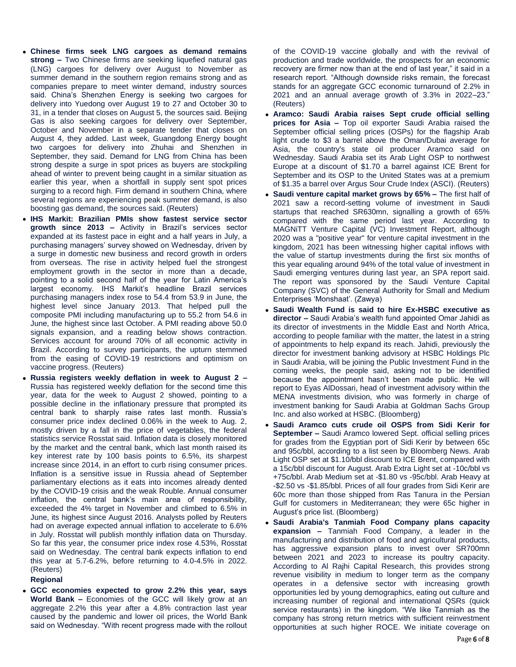- **Chinese firms seek LNG cargoes as demand remains strong –** Two Chinese firms are seeking liquefied natural gas (LNG) cargoes for delivery over August to November as summer demand in the southern region remains strong and as companies prepare to meet winter demand, industry sources said. China's Shenzhen Energy is seeking two cargoes for delivery into Yuedong over August 19 to 27 and October 30 to 31, in a tender that closes on August 5, the sources said. Beijing Gas is also seeking cargoes for delivery over September, October and November in a separate tender that closes on August 4, they added. Last week, Guangdong Energy bought two cargoes for delivery into Zhuhai and Shenzhen in September, they said. Demand for LNG from China has been strong despite a surge in spot prices as buyers are stockpiling ahead of winter to prevent being caught in a similar situation as earlier this year, when a shortfall in supply sent spot prices surging to a record high. Firm demand in southern China, where several regions are experiencing peak summer demand, is also boosting gas demand, the sources said. (Reuters)
- **IHS Markit: Brazilian PMIs show fastest service sector growth since 2013 –** Activity in Brazil's services sector expanded at its fastest pace in eight and a half years in July, a purchasing managers' survey showed on Wednesday, driven by a surge in domestic new business and record growth in orders from overseas. The rise in activity helped fuel the strongest employment growth in the sector in more than a decade, pointing to a solid second half of the year for Latin America's largest economy. IHS Markit's headline Brazil services purchasing managers index rose to 54.4 from 53.9 in June, the highest level since January 2013. That helped pull the composite PMI including manufacturing up to 55.2 from 54.6 in June, the highest since last October. A PMI reading above 50.0 signals expansion, and a reading below shows contraction. Services account for around 70% of all economic activity in Brazil. According to survey participants, the upturn stemmed from the easing of COVID-19 restrictions and optimism on vaccine progress. (Reuters)
- **Russia registers weekly deflation in week to August 2 –** Russia has registered weekly deflation for the second time this year, data for the week to August 2 showed, pointing to a possible decline in the inflationary pressure that prompted its central bank to sharply raise rates last month. Russia's consumer price index declined 0.06% in the week to Aug. 2, mostly driven by a fall in the price of vegetables, the federal statistics service Rosstat said. Inflation data is closely monitored by the market and the central bank, which last month raised its key interest rate by 100 basis points to 6.5%, its sharpest increase since 2014, in an effort to curb rising consumer prices. Inflation is a sensitive issue in Russia ahead of September parliamentary elections as it eats into incomes already dented by the COVID-19 crisis and the weak Rouble. Annual consumer inflation, the central bank's main area of responsibility, exceeded the 4% target in November and climbed to 6.5% in June, its highest since August 2016. Analysts polled by Reuters had on average expected annual inflation to accelerate to 6.6% in July. Rosstat will publish monthly inflation data on Thursday. So far this year, the consumer price index rose 4.53%, Rosstat said on Wednesday. The central bank expects inflation to end this year at 5.7-6.2%, before returning to 4.0-4.5% in 2022. (Reuters)

## **Regional**

 **GCC economies expected to grow 2.2% this year, says World Bank –** Economies of the GCC will likely grow at an aggregate 2.2% this year after a 4.8% contraction last year caused by the pandemic and lower oil prices, the World Bank said on Wednesday. "With recent progress made with the rollout of the COVID-19 vaccine globally and with the revival of production and trade worldwide, the prospects for an economic recovery are firmer now than at the end of last year," it said in a research report. "Although downside risks remain, the forecast stands for an aggregate GCC economic turnaround of 2.2% in 2021 and an annual average growth of 3.3% in 2022–23." (Reuters)

- **Aramco: Saudi Arabia raises Sept crude official selling prices for Asia –** Top oil exporter Saudi Arabia raised the September official selling prices (OSPs) for the flagship Arab light crude to \$3 a barrel above the Oman/Dubai average for Asia, the country's state oil producer Aramco said on Wednesday. Saudi Arabia set its Arab Light OSP to northwest Europe at a discount of \$1.70 a barrel against ICE Brent for September and its OSP to the United States was at a premium of \$1.35 a barrel over Argus Sour Crude Index (ASCI). (Reuters)
- **Saudi venture capital market grows by 65% –** The first half of 2021 saw a record-setting volume of investment in Saudi startups that reached SR630mn, signalling a growth of 65% compared with the same period last year. According to MAGNiTT Venture Capital (VC) Investment Report, although 2020 was a "positive year" for venture capital investment in the kingdom, 2021 has been witnessing higher capital inflows with the value of startup investments during the first six months of this year equaling around 94% of the total value of investment in Saudi emerging ventures during last year, an SPA report said. The report was sponsored by the Saudi Venture Capital Company (SVC) of the General Authority for Small and Medium Enterprises 'Monshaat'. (Zawya)
- **Saudi Wealth Fund is said to hire Ex-HSBC executive as director –** Saudi Arabia's wealth fund appointed Omar Jahidi as its director of investments in the Middle East and North Africa, according to people familiar with the matter, the latest in a string of appointments to help expand its reach. Jahidi, previously the director for investment banking advisory at HSBC Holdings Plc in Saudi Arabia, will be joining the Public Investment Fund in the coming weeks, the people said, asking not to be identified because the appointment hasn't been made public. He will report to Eyas AlDossari, head of investment advisory within the MENA investments division, who was formerly in charge of investment banking for Saudi Arabia at Goldman Sachs Group Inc. and also worked at HSBC. (Bloomberg)
- **Saudi Aramco cuts crude oil OSPS from Sidi Kerir for September –** Saudi Aramco lowered Sept. official selling prices for grades from the Egyptian port of Sidi Kerir by between 65c and 95c/bbl, according to a list seen by Bloomberg News. Arab Light OSP set at \$1.10/bbl discount to ICE Brent, compared with a 15c/bbl discount for August. Arab Extra Light set at -10c/bbl vs +75c/bbl. Arab Medium set at -\$1.80 vs -95c/bbl. Arab Heavy at -\$2.50 vs -\$1.85/bbl. Prices of all four grades from Sidi Kerir are 60c more than those shipped from Ras Tanura in the Persian Gulf for customers in Mediterranean; they were 65c higher in August's price list. (Bloomberg)
- **Saudi Arabia's Tanmiah Food Company plans capacity expansion –** Tanmiah Food Company, a leader in the manufacturing and distribution of food and agricultural products, has aggressive expansion plans to invest over SR700mn between 2021 and 2023 to increase its poultry capacity. According to Al Rajhi Capital Research, this provides strong revenue visibility in medium to longer term as the company operates in a defensive sector with increasing growth opportunities led by young demographics, eating out culture and increasing number of regional and international QSRs (quick service restaurants) in the kingdom. "We like Tanmiah as the company has strong return metrics with sufficient reinvestment opportunities at such higher ROCE. We initiate coverage on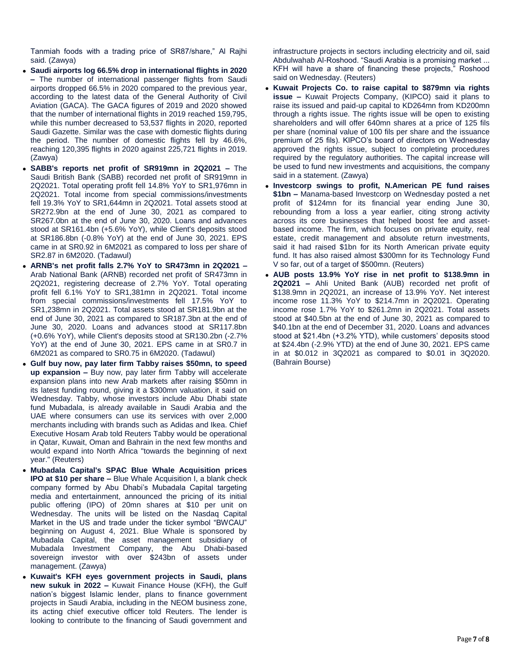Tanmiah foods with a trading price of SR87/share," Al Rajhi said. (Zawya)

- **Saudi airports log 66.5% drop in international flights in 2020 –** The number of international passenger flights from Saudi airports dropped 66.5% in 2020 compared to the previous year, according to the latest data of the General Authority of Civil Aviation (GACA). The GACA figures of 2019 and 2020 showed that the number of international flights in 2019 reached 159,795, while this number decreased to 53,537 flights in 2020, reported Saudi Gazette. Similar was the case with domestic flights during the period. The number of domestic flights fell by 46.6%, reaching 120,395 flights in 2020 against 225,721 flights in 2019. (Zawya)
- **SABB's reports net profit of SR919mn in 2Q2021 –** The Saudi British Bank (SABB) recorded net profit of SR919mn in 2Q2021. Total operating profit fell 14.8% YoY to SR1,976mn in 2Q2021. Total income from special commissions/investments fell 19.3% YoY to SR1,644mn in 2Q2021. Total assets stood at SR272.9bn at the end of June 30, 2021 as compared to SR267.0bn at the end of June 30, 2020. Loans and advances stood at SR161.4bn (+5.6% YoY), while Client's deposits stood at SR186.8bn (-0.8% YoY) at the end of June 30, 2021. EPS came in at SR0.92 in 6M2021 as compared to loss per share of SR2.87 in 6M2020. (Tadawul)
- **ARNB's net profit falls 2.7% YoY to SR473mn in 2Q2021 –** Arab National Bank (ARNB) recorded net profit of SR473mn in 2Q2021, registering decrease of 2.7% YoY. Total operating profit fell 6.1% YoY to SR1,381mn in 2Q2021. Total income from special commissions/investments fell 17.5% YoY to SR1,238mn in 2Q2021. Total assets stood at SR181.9bn at the end of June 30, 2021 as compared to SR187.3bn at the end of June 30, 2020. Loans and advances stood at SR117.8bn (+0.6% YoY), while Client's deposits stood at SR130.2bn (-2.7% YoY) at the end of June 30, 2021. EPS came in at SR0.7 in 6M2021 as compared to SR0.75 in 6M2020. (Tadawul)
- **Gulf buy now, pay later firm Tabby raises \$50mn, to speed up expansion –** Buy now, pay later firm Tabby will accelerate expansion plans into new Arab markets after raising \$50mn in its latest funding round, giving it a \$300mn valuation, it said on Wednesday. Tabby, whose investors include Abu Dhabi state fund Mubadala, is already available in Saudi Arabia and the UAE where consumers can use its services with over 2,000 merchants including with brands such as Adidas and Ikea. Chief Executive Hosam Arab told Reuters Tabby would be operational in Qatar, Kuwait, Oman and Bahrain in the next few months and would expand into North Africa "towards the beginning of next year." (Reuters)
- **Mubadala Capital's SPAC Blue Whale Acquisition prices IPO at \$10 per share –** Blue Whale Acquisition I, a blank check company formed by Abu Dhabi's Mubadala Capital targeting media and entertainment, announced the pricing of its initial public offering (IPO) of 20mn shares at \$10 per unit on Wednesday. The units will be listed on the Nasdaq Capital Market in the US and trade under the ticker symbol "BWCAU" beginning on August 4, 2021. Blue Whale is sponsored by Mubadala Capital, the asset management subsidiary of Mubadala Investment Company, the Abu Dhabi-based sovereign investor with over \$243bn of assets under management. (Zawya)
- **Kuwait's KFH eyes government projects in Saudi, plans new sukuk in 2022 –** Kuwait Finance House (KFH), the Gulf nation's biggest Islamic lender, plans to finance government projects in Saudi Arabia, including in the NEOM business zone, its acting chief executive officer told Reuters. The lender is looking to contribute to the financing of Saudi government and

infrastructure projects in sectors including electricity and oil, said Abdulwahab Al-Roshood. "Saudi Arabia is a promising market ... KFH will have a share of financing these projects," Roshood said on Wednesday. (Reuters)

- **Kuwait Projects Co. to raise capital to \$879mn via rights issue –** Kuwait Projects Company, (KIPCO) said it plans to raise its issued and paid-up capital to KD264mn from KD200mn through a rights issue. The rights issue will be open to existing shareholders and will offer 640mn shares at a price of 125 fils per share (nominal value of 100 fils per share and the issuance premium of 25 fils). KIPCO's board of directors on Wednesday approved the rights issue, subject to completing procedures required by the regulatory authorities. The capital increase will be used to fund new investments and acquisitions, the company said in a statement. (Zawya)
- **Investcorp swings to profit, N.American PE fund raises \$1bn –** Manama-based Investcorp on Wednesday posted a net profit of \$124mn for its financial year ending June 30, rebounding from a loss a year earlier, citing strong activity across its core businesses that helped boost fee and assetbased income. The firm, which focuses on private equity, real estate, credit management and absolute return investments, said it had raised \$1bn for its North American private equity fund. It has also raised almost \$300mn for its Technology Fund V so far, out of a target of \$500mn. (Reuters)
- **AUB posts 13.9% YoY rise in net profit to \$138.9mn in 2Q2021 –** Ahli United Bank (AUB) recorded net profit of \$138.9mn in 2Q2021, an increase of 13.9% YoY. Net interest income rose 11.3% YoY to \$214.7mn in 2Q2021. Operating income rose 1.7% YoY to \$261.2mn in 2Q2021. Total assets stood at \$40.5bn at the end of June 30, 2021 as compared to \$40.1bn at the end of December 31, 2020. Loans and advances stood at \$21.4bn (+3.2% YTD), while customers' deposits stood at \$24.4bn (-2.9% YTD) at the end of June 30, 2021. EPS came in at \$0.012 in 3Q2021 as compared to \$0.01 in 3Q2020. (Bahrain Bourse)